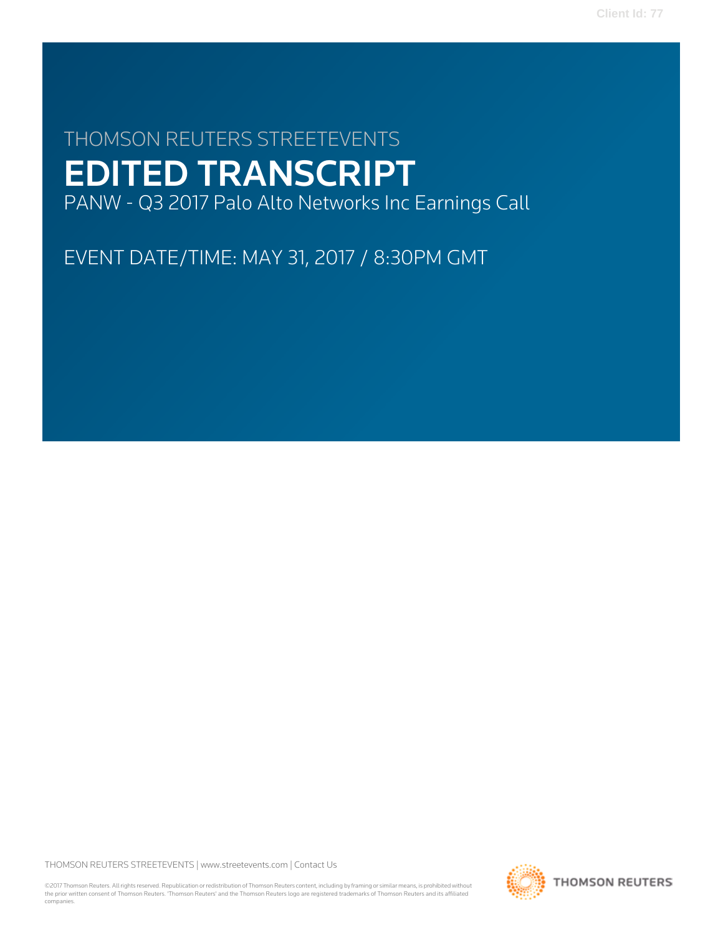# THOMSON REUTERS STREETEVENTS EDITED TRANSCRIPT PANW - Q3 2017 Palo Alto Networks Inc Earnings Call

EVENT DATE/TIME: MAY 31, 2017 / 8:30PM GMT

THOMSON REUTERS STREETEVENTS | [www.streetevents.com](http://www.streetevents.com) | [Contact Us](http://www010.streetevents.com/contact.asp)

©2017 Thomson Reuters. All rights reserved. Republication or redistribution of Thomson Reuters content, including by framing or similar means, is prohibited without the prior written consent of Thomson Reuters. 'Thomson Reuters' and the Thomson Reuters logo are registered trademarks of Thomson Reuters and its affiliated companies.

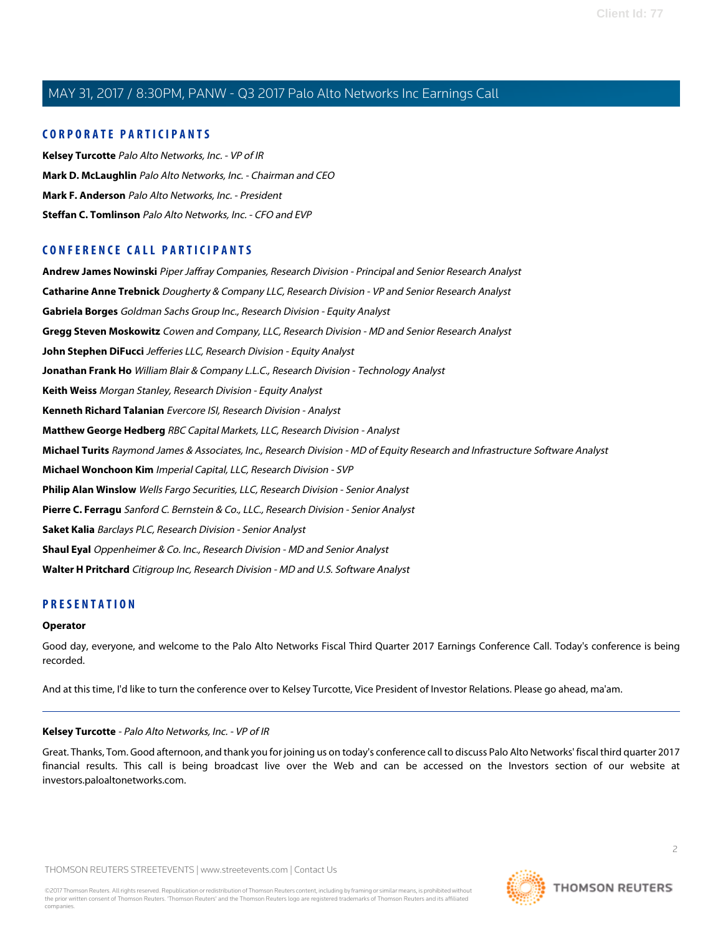### **CORPORATE PARTICIPANTS**

**[Kelsey Turcotte](#page-1-0)** Palo Alto Networks, Inc. - VP of IR **[Mark D. McLaughlin](#page-2-0)** Palo Alto Networks, Inc. - Chairman and CEO **[Mark F. Anderson](#page-11-0)** Palo Alto Networks, Inc. - President **[Steffan C. Tomlinson](#page-3-0)** Palo Alto Networks, Inc. - CFO and EVP

## **CONFERENCE CALL PARTICIPANTS**

**[Andrew James Nowinski](#page-10-0)** Piper Jaffray Companies, Research Division - Principal and Senior Research Analyst **[Catharine Anne Trebnick](#page-13-0)** Dougherty & Company LLC, Research Division - VP and Senior Research Analyst **[Gabriela Borges](#page-5-0)** Goldman Sachs Group Inc., Research Division - Equity Analyst **[Gregg Steven Moskowitz](#page-6-0)** Cowen and Company, LLC, Research Division - MD and Senior Research Analyst **[John Stephen DiFucci](#page-6-1)** Jefferies LLC, Research Division - Equity Analyst **[Jonathan Frank Ho](#page-8-0)** William Blair & Company L.L.C., Research Division - Technology Analyst **[Keith Weiss](#page-15-0)** Morgan Stanley, Research Division - Equity Analyst **[Kenneth Richard Talanian](#page-14-0)** Evercore ISI, Research Division - Analyst **[Matthew George Hedberg](#page-7-0)** RBC Capital Markets, LLC, Research Division - Analyst **[Michael Turits](#page-9-0)** Raymond James & Associates, Inc., Research Division - MD of Equity Research and Infrastructure Software Analyst **[Michael Wonchoon Kim](#page-11-1)** Imperial Capital, LLC, Research Division - SVP **[Philip Alan Winslow](#page-7-1)** Wells Fargo Securities, LLC, Research Division - Senior Analyst **[Pierre C. Ferragu](#page-12-0)** Sanford C. Bernstein & Co., LLC., Research Division - Senior Analyst **[Saket Kalia](#page-8-1)** Barclays PLC, Research Division - Senior Analyst **[Shaul Eyal](#page-12-1)** Oppenheimer & Co. Inc., Research Division - MD and Senior Analyst **[Walter H Pritchard](#page-14-1)** Citigroup Inc, Research Division - MD and U.S. Software Analyst

# **PRESENTATION**

#### **Operator**

<span id="page-1-0"></span>Good day, everyone, and welcome to the Palo Alto Networks Fiscal Third Quarter 2017 Earnings Conference Call. Today's conference is being recorded.

And at this time, I'd like to turn the conference over to Kelsey Turcotte, Vice President of Investor Relations. Please go ahead, ma'am.

#### **Kelsey Turcotte** - Palo Alto Networks, Inc. - VP of IR

Great. Thanks, Tom. Good afternoon, and thank you for joining us on today's conference call to discuss Palo Alto Networks' fiscal third quarter 2017 financial results. This call is being broadcast live over the Web and can be accessed on the Investors section of our website at investors.paloaltonetworks.com.

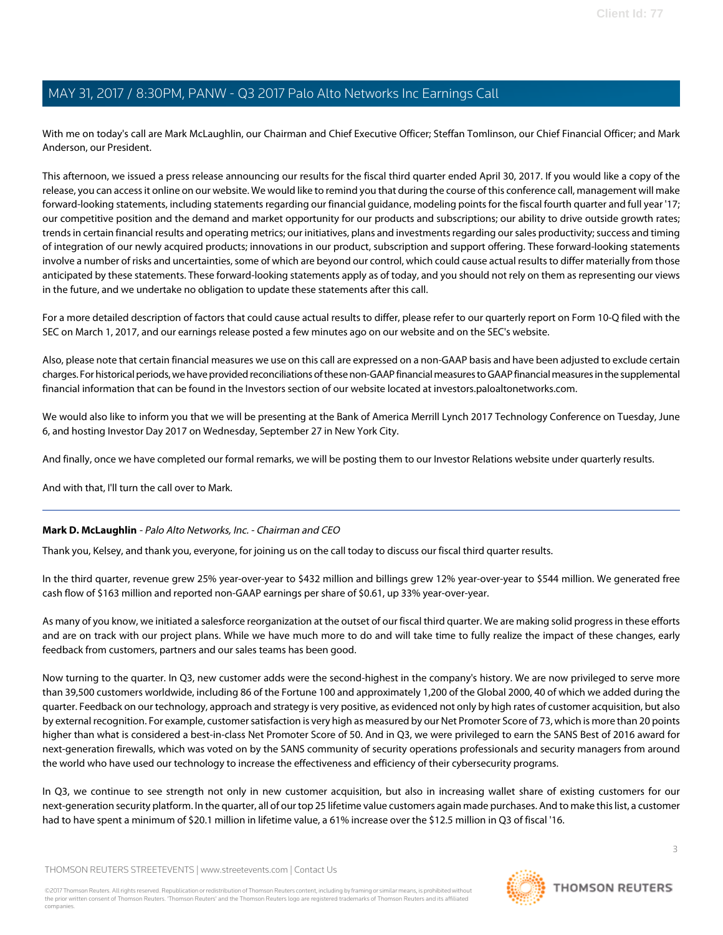With me on today's call are Mark McLaughlin, our Chairman and Chief Executive Officer; Steffan Tomlinson, our Chief Financial Officer; and Mark Anderson, our President.

This afternoon, we issued a press release announcing our results for the fiscal third quarter ended April 30, 2017. If you would like a copy of the release, you can access it online on our website. We would like to remind you that during the course of this conference call, management will make forward-looking statements, including statements regarding our financial guidance, modeling points for the fiscal fourth quarter and full year '17; our competitive position and the demand and market opportunity for our products and subscriptions; our ability to drive outside growth rates; trends in certain financial results and operating metrics; our initiatives, plans and investments regarding our sales productivity; success and timing of integration of our newly acquired products; innovations in our product, subscription and support offering. These forward-looking statements involve a number of risks and uncertainties, some of which are beyond our control, which could cause actual results to differ materially from those anticipated by these statements. These forward-looking statements apply as of today, and you should not rely on them as representing our views in the future, and we undertake no obligation to update these statements after this call.

For a more detailed description of factors that could cause actual results to differ, please refer to our quarterly report on Form 10-Q filed with the SEC on March 1, 2017, and our earnings release posted a few minutes ago on our website and on the SEC's website.

Also, please note that certain financial measures we use on this call are expressed on a non-GAAP basis and have been adjusted to exclude certain charges. For historical periods, we have provided reconciliations of these non-GAAP financial measures to GAAP financial measures in the supplemental financial information that can be found in the Investors section of our website located at investors.paloaltonetworks.com.

We would also like to inform you that we will be presenting at the Bank of America Merrill Lynch 2017 Technology Conference on Tuesday, June 6, and hosting Investor Day 2017 on Wednesday, September 27 in New York City.

And finally, once we have completed our formal remarks, we will be posting them to our Investor Relations website under quarterly results.

<span id="page-2-0"></span>And with that, I'll turn the call over to Mark.

### **Mark D. McLaughlin** - Palo Alto Networks, Inc. - Chairman and CEO

Thank you, Kelsey, and thank you, everyone, for joining us on the call today to discuss our fiscal third quarter results.

In the third quarter, revenue grew 25% year-over-year to \$432 million and billings grew 12% year-over-year to \$544 million. We generated free cash flow of \$163 million and reported non-GAAP earnings per share of \$0.61, up 33% year-over-year.

As many of you know, we initiated a salesforce reorganization at the outset of our fiscal third quarter. We are making solid progress in these efforts and are on track with our project plans. While we have much more to do and will take time to fully realize the impact of these changes, early feedback from customers, partners and our sales teams has been good.

Now turning to the quarter. In Q3, new customer adds were the second-highest in the company's history. We are now privileged to serve more than 39,500 customers worldwide, including 86 of the Fortune 100 and approximately 1,200 of the Global 2000, 40 of which we added during the quarter. Feedback on our technology, approach and strategy is very positive, as evidenced not only by high rates of customer acquisition, but also by external recognition. For example, customer satisfaction is very high as measured by our Net Promoter Score of 73, which is more than 20 points higher than what is considered a best-in-class Net Promoter Score of 50. And in Q3, we were privileged to earn the SANS Best of 2016 award for next-generation firewalls, which was voted on by the SANS community of security operations professionals and security managers from around the world who have used our technology to increase the effectiveness and efficiency of their cybersecurity programs.

In Q3, we continue to see strength not only in new customer acquisition, but also in increasing wallet share of existing customers for our next-generation security platform. In the quarter, all of our top 25 lifetime value customers again made purchases. And to make this list, a customer had to have spent a minimum of \$20.1 million in lifetime value, a 61% increase over the \$12.5 million in Q3 of fiscal '16.

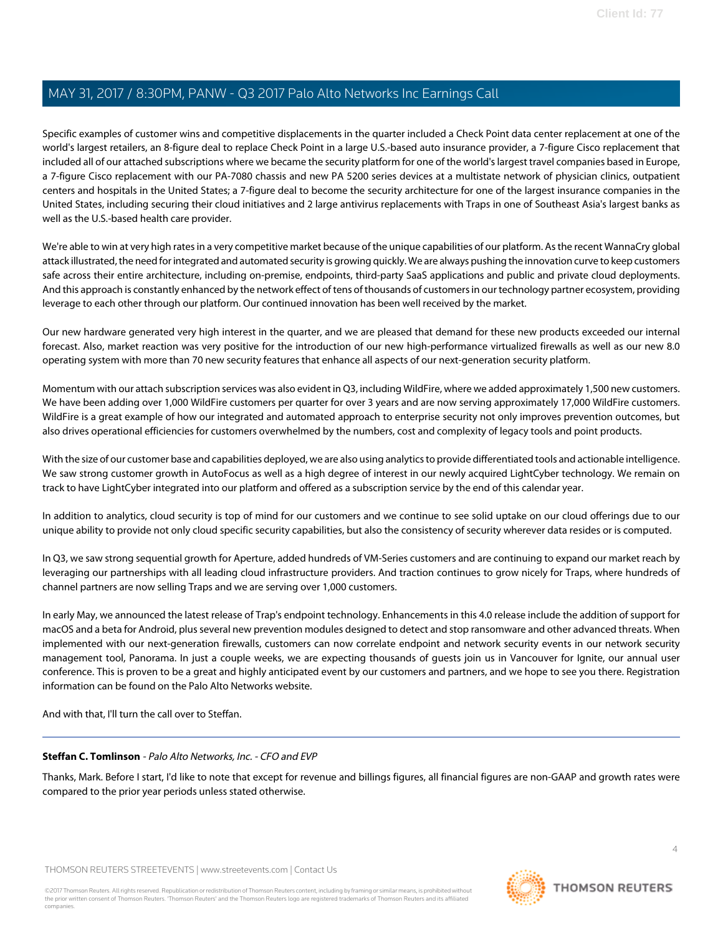Specific examples of customer wins and competitive displacements in the quarter included a Check Point data center replacement at one of the world's largest retailers, an 8-figure deal to replace Check Point in a large U.S.-based auto insurance provider, a 7-figure Cisco replacement that included all of our attached subscriptions where we became the security platform for one of the world's largest travel companies based in Europe, a 7-figure Cisco replacement with our PA-7080 chassis and new PA 5200 series devices at a multistate network of physician clinics, outpatient centers and hospitals in the United States; a 7-figure deal to become the security architecture for one of the largest insurance companies in the United States, including securing their cloud initiatives and 2 large antivirus replacements with Traps in one of Southeast Asia's largest banks as well as the U.S.-based health care provider.

We're able to win at very high rates in a very competitive market because of the unique capabilities of our platform. As the recent WannaCry global attack illustrated, the need for integrated and automated security is growing quickly. We are always pushing the innovation curve to keep customers safe across their entire architecture, including on-premise, endpoints, third-party SaaS applications and public and private cloud deployments. And this approach is constantly enhanced by the network effect of tens of thousands of customers in our technology partner ecosystem, providing leverage to each other through our platform. Our continued innovation has been well received by the market.

Our new hardware generated very high interest in the quarter, and we are pleased that demand for these new products exceeded our internal forecast. Also, market reaction was very positive for the introduction of our new high-performance virtualized firewalls as well as our new 8.0 operating system with more than 70 new security features that enhance all aspects of our next-generation security platform.

Momentum with our attach subscription services was also evident in Q3, including WildFire, where we added approximately 1,500 new customers. We have been adding over 1,000 WildFire customers per quarter for over 3 years and are now serving approximately 17,000 WildFire customers. WildFire is a great example of how our integrated and automated approach to enterprise security not only improves prevention outcomes, but also drives operational efficiencies for customers overwhelmed by the numbers, cost and complexity of legacy tools and point products.

With the size of our customer base and capabilities deployed, we are also using analytics to provide differentiated tools and actionable intelligence. We saw strong customer growth in AutoFocus as well as a high degree of interest in our newly acquired LightCyber technology. We remain on track to have LightCyber integrated into our platform and offered as a subscription service by the end of this calendar year.

In addition to analytics, cloud security is top of mind for our customers and we continue to see solid uptake on our cloud offerings due to our unique ability to provide not only cloud specific security capabilities, but also the consistency of security wherever data resides or is computed.

In Q3, we saw strong sequential growth for Aperture, added hundreds of VM-Series customers and are continuing to expand our market reach by leveraging our partnerships with all leading cloud infrastructure providers. And traction continues to grow nicely for Traps, where hundreds of channel partners are now selling Traps and we are serving over 1,000 customers.

In early May, we announced the latest release of Trap's endpoint technology. Enhancements in this 4.0 release include the addition of support for macOS and a beta for Android, plus several new prevention modules designed to detect and stop ransomware and other advanced threats. When implemented with our next-generation firewalls, customers can now correlate endpoint and network security events in our network security management tool, Panorama. In just a couple weeks, we are expecting thousands of guests join us in Vancouver for Ignite, our annual user conference. This is proven to be a great and highly anticipated event by our customers and partners, and we hope to see you there. Registration information can be found on the Palo Alto Networks website.

<span id="page-3-0"></span>And with that, I'll turn the call over to Steffan.

### **Steffan C. Tomlinson** - Palo Alto Networks, Inc. - CFO and EVP

Thanks, Mark. Before I start, I'd like to note that except for revenue and billings figures, all financial figures are non-GAAP and growth rates were compared to the prior year periods unless stated otherwise.

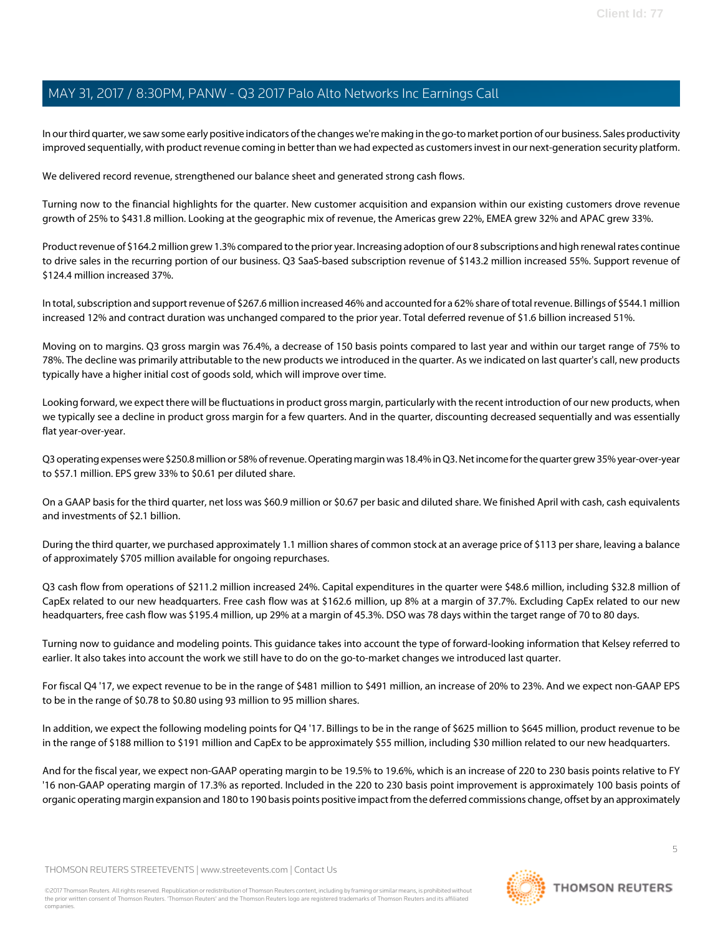In our third quarter, we saw some early positive indicators of the changes we're making in the go-to market portion of our business. Sales productivity improved sequentially, with product revenue coming in better than we had expected as customers invest in our next-generation security platform.

We delivered record revenue, strengthened our balance sheet and generated strong cash flows.

Turning now to the financial highlights for the quarter. New customer acquisition and expansion within our existing customers drove revenue growth of 25% to \$431.8 million. Looking at the geographic mix of revenue, the Americas grew 22%, EMEA grew 32% and APAC grew 33%.

Product revenue of \$164.2 million grew 1.3% compared to the prior year. Increasing adoption of our 8 subscriptions and high renewal rates continue to drive sales in the recurring portion of our business. Q3 SaaS-based subscription revenue of \$143.2 million increased 55%. Support revenue of \$124.4 million increased 37%.

In total, subscription and support revenue of \$267.6 million increased 46% and accounted for a 62% share of total revenue. Billings of \$544.1 million increased 12% and contract duration was unchanged compared to the prior year. Total deferred revenue of \$1.6 billion increased 51%.

Moving on to margins. Q3 gross margin was 76.4%, a decrease of 150 basis points compared to last year and within our target range of 75% to 78%. The decline was primarily attributable to the new products we introduced in the quarter. As we indicated on last quarter's call, new products typically have a higher initial cost of goods sold, which will improve over time.

Looking forward, we expect there will be fluctuations in product gross margin, particularly with the recent introduction of our new products, when we typically see a decline in product gross margin for a few quarters. And in the quarter, discounting decreased sequentially and was essentially flat year-over-year.

Q3 operating expenses were \$250.8 million or 58% of revenue. Operating margin was 18.4% in Q3. Net income for the quarter grew 35% year-over-year to \$57.1 million. EPS grew 33% to \$0.61 per diluted share.

On a GAAP basis for the third quarter, net loss was \$60.9 million or \$0.67 per basic and diluted share. We finished April with cash, cash equivalents and investments of \$2.1 billion.

During the third quarter, we purchased approximately 1.1 million shares of common stock at an average price of \$113 per share, leaving a balance of approximately \$705 million available for ongoing repurchases.

Q3 cash flow from operations of \$211.2 million increased 24%. Capital expenditures in the quarter were \$48.6 million, including \$32.8 million of CapEx related to our new headquarters. Free cash flow was at \$162.6 million, up 8% at a margin of 37.7%. Excluding CapEx related to our new headquarters, free cash flow was \$195.4 million, up 29% at a margin of 45.3%. DSO was 78 days within the target range of 70 to 80 days.

Turning now to guidance and modeling points. This guidance takes into account the type of forward-looking information that Kelsey referred to earlier. It also takes into account the work we still have to do on the go-to-market changes we introduced last quarter.

For fiscal Q4 '17, we expect revenue to be in the range of \$481 million to \$491 million, an increase of 20% to 23%. And we expect non-GAAP EPS to be in the range of \$0.78 to \$0.80 using 93 million to 95 million shares.

In addition, we expect the following modeling points for Q4 '17. Billings to be in the range of \$625 million to \$645 million, product revenue to be in the range of \$188 million to \$191 million and CapEx to be approximately \$55 million, including \$30 million related to our new headquarters.

And for the fiscal year, we expect non-GAAP operating margin to be 19.5% to 19.6%, which is an increase of 220 to 230 basis points relative to FY '16 non-GAAP operating margin of 17.3% as reported. Included in the 220 to 230 basis point improvement is approximately 100 basis points of organic operating margin expansion and 180 to 190 basis points positive impact from the deferred commissions change, offset by an approximately

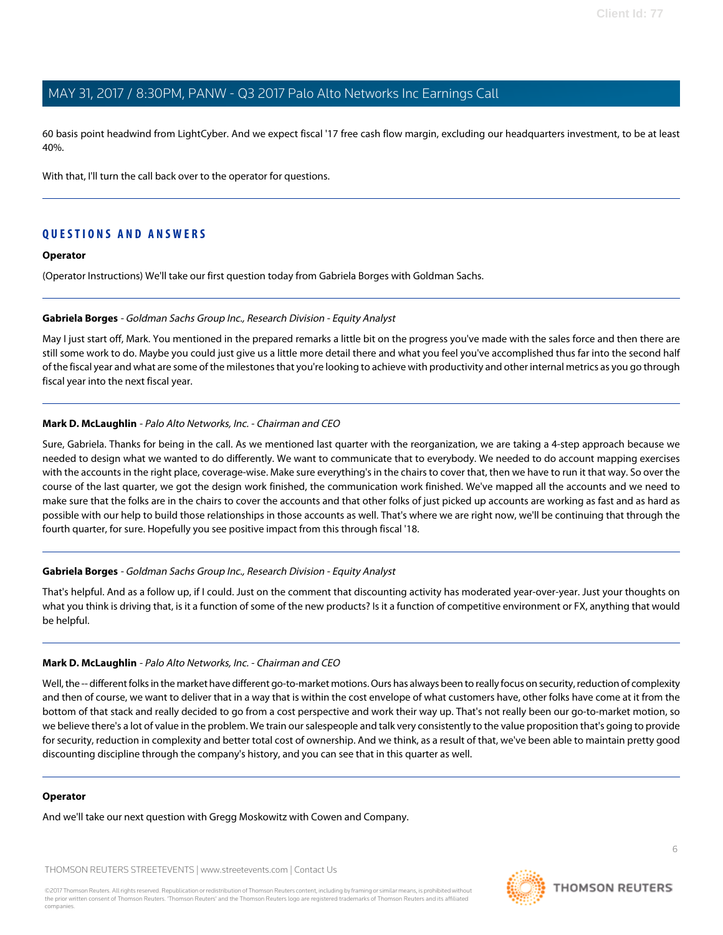60 basis point headwind from LightCyber. And we expect fiscal '17 free cash flow margin, excluding our headquarters investment, to be at least 40%.

With that, I'll turn the call back over to the operator for questions.

## **QUESTIONS AND ANSWERS**

#### **Operator**

<span id="page-5-0"></span>(Operator Instructions) We'll take our first question today from Gabriela Borges with Goldman Sachs.

#### **Gabriela Borges** - Goldman Sachs Group Inc., Research Division - Equity Analyst

May I just start off, Mark. You mentioned in the prepared remarks a little bit on the progress you've made with the sales force and then there are still some work to do. Maybe you could just give us a little more detail there and what you feel you've accomplished thus far into the second half of the fiscal year and what are some of the milestones that you're looking to achieve with productivity and other internal metrics as you go through fiscal year into the next fiscal year.

#### **Mark D. McLaughlin** - Palo Alto Networks, Inc. - Chairman and CEO

Sure, Gabriela. Thanks for being in the call. As we mentioned last quarter with the reorganization, we are taking a 4-step approach because we needed to design what we wanted to do differently. We want to communicate that to everybody. We needed to do account mapping exercises with the accounts in the right place, coverage-wise. Make sure everything's in the chairs to cover that, then we have to run it that way. So over the course of the last quarter, we got the design work finished, the communication work finished. We've mapped all the accounts and we need to make sure that the folks are in the chairs to cover the accounts and that other folks of just picked up accounts are working as fast and as hard as possible with our help to build those relationships in those accounts as well. That's where we are right now, we'll be continuing that through the fourth quarter, for sure. Hopefully you see positive impact from this through fiscal '18.

#### **Gabriela Borges** - Goldman Sachs Group Inc., Research Division - Equity Analyst

That's helpful. And as a follow up, if I could. Just on the comment that discounting activity has moderated year-over-year. Just your thoughts on what you think is driving that, is it a function of some of the new products? Is it a function of competitive environment or FX, anything that would be helpful.

#### **Mark D. McLaughlin** - Palo Alto Networks, Inc. - Chairman and CEO

Well, the -- different folks in the market have different go-to-market motions. Ours has always been to really focus on security, reduction of complexity and then of course, we want to deliver that in a way that is within the cost envelope of what customers have, other folks have come at it from the bottom of that stack and really decided to go from a cost perspective and work their way up. That's not really been our go-to-market motion, so we believe there's a lot of value in the problem. We train our salespeople and talk very consistently to the value proposition that's going to provide for security, reduction in complexity and better total cost of ownership. And we think, as a result of that, we've been able to maintain pretty good discounting discipline through the company's history, and you can see that in this quarter as well.

#### **Operator**

And we'll take our next question with Gregg Moskowitz with Cowen and Company.

THOMSON REUTERS STREETEVENTS | [www.streetevents.com](http://www.streetevents.com) | [Contact Us](http://www010.streetevents.com/contact.asp)

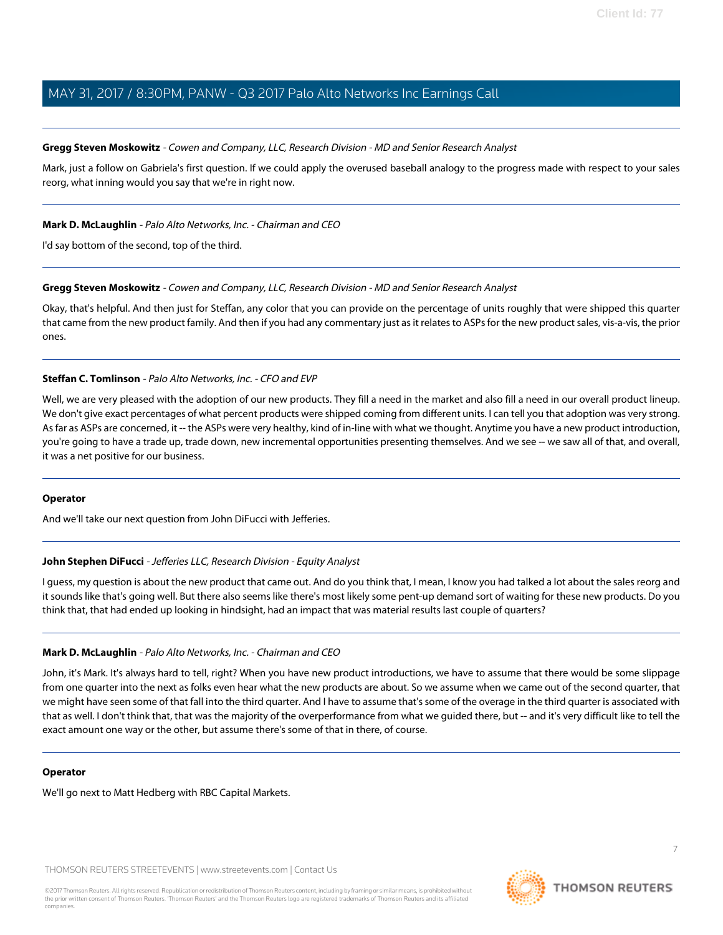#### <span id="page-6-0"></span>**Gregg Steven Moskowitz** - Cowen and Company, LLC, Research Division - MD and Senior Research Analyst

Mark, just a follow on Gabriela's first question. If we could apply the overused baseball analogy to the progress made with respect to your sales reorg, what inning would you say that we're in right now.

#### **Mark D. McLaughlin** - Palo Alto Networks, Inc. - Chairman and CEO

I'd say bottom of the second, top of the third.

### **Gregg Steven Moskowitz** - Cowen and Company, LLC, Research Division - MD and Senior Research Analyst

Okay, that's helpful. And then just for Steffan, any color that you can provide on the percentage of units roughly that were shipped this quarter that came from the new product family. And then if you had any commentary just as it relates to ASPs for the new product sales, vis-a-vis, the prior ones.

#### **Steffan C. Tomlinson** - Palo Alto Networks, Inc. - CFO and EVP

Well, we are very pleased with the adoption of our new products. They fill a need in the market and also fill a need in our overall product lineup. We don't give exact percentages of what percent products were shipped coming from different units. I can tell you that adoption was very strong. As far as ASPs are concerned, it -- the ASPs were very healthy, kind of in-line with what we thought. Anytime you have a new product introduction, you're going to have a trade up, trade down, new incremental opportunities presenting themselves. And we see -- we saw all of that, and overall, it was a net positive for our business.

#### <span id="page-6-1"></span>**Operator**

And we'll take our next question from John DiFucci with Jefferies.

#### **John Stephen DiFucci** - Jefferies LLC, Research Division - Equity Analyst

I guess, my question is about the new product that came out. And do you think that, I mean, I know you had talked a lot about the sales reorg and it sounds like that's going well. But there also seems like there's most likely some pent-up demand sort of waiting for these new products. Do you think that, that had ended up looking in hindsight, had an impact that was material results last couple of quarters?

#### **Mark D. McLaughlin** - Palo Alto Networks, Inc. - Chairman and CEO

John, it's Mark. It's always hard to tell, right? When you have new product introductions, we have to assume that there would be some slippage from one quarter into the next as folks even hear what the new products are about. So we assume when we came out of the second quarter, that we might have seen some of that fall into the third quarter. And I have to assume that's some of the overage in the third quarter is associated with that as well. I don't think that, that was the majority of the overperformance from what we guided there, but -- and it's very difficult like to tell the exact amount one way or the other, but assume there's some of that in there, of course.

#### **Operator**

We'll go next to Matt Hedberg with RBC Capital Markets.

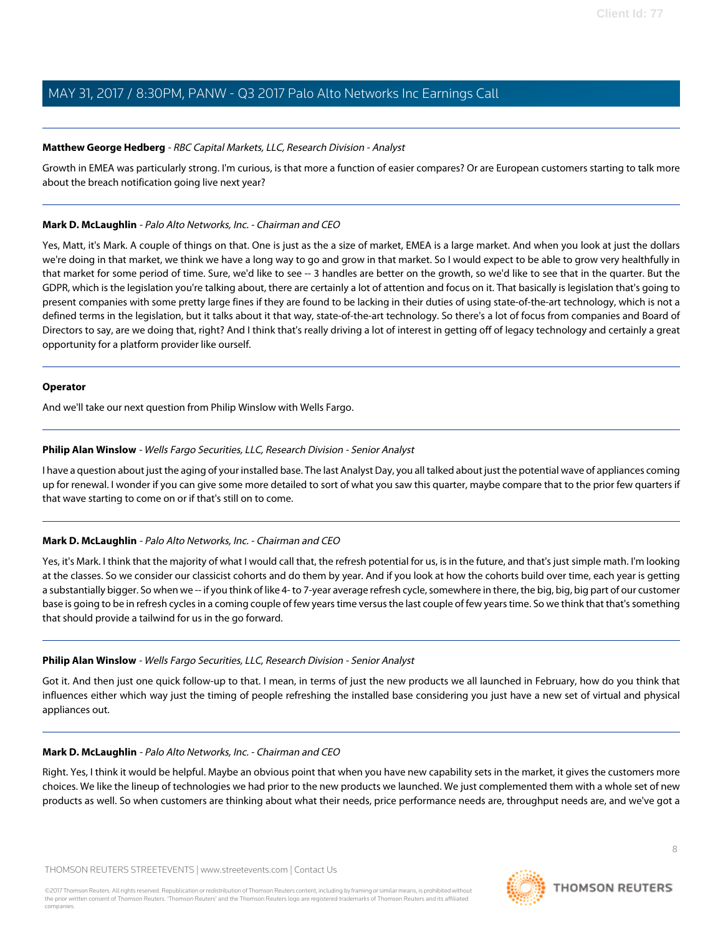#### <span id="page-7-0"></span>**Matthew George Hedberg** - RBC Capital Markets, LLC, Research Division - Analyst

Growth in EMEA was particularly strong. I'm curious, is that more a function of easier compares? Or are European customers starting to talk more about the breach notification going live next year?

#### **Mark D. McLaughlin** - Palo Alto Networks, Inc. - Chairman and CEO

Yes, Matt, it's Mark. A couple of things on that. One is just as the a size of market, EMEA is a large market. And when you look at just the dollars we're doing in that market, we think we have a long way to go and grow in that market. So I would expect to be able to grow very healthfully in that market for some period of time. Sure, we'd like to see -- 3 handles are better on the growth, so we'd like to see that in the quarter. But the GDPR, which is the legislation you're talking about, there are certainly a lot of attention and focus on it. That basically is legislation that's going to present companies with some pretty large fines if they are found to be lacking in their duties of using state-of-the-art technology, which is not a defined terms in the legislation, but it talks about it that way, state-of-the-art technology. So there's a lot of focus from companies and Board of Directors to say, are we doing that, right? And I think that's really driving a lot of interest in getting off of legacy technology and certainly a great opportunity for a platform provider like ourself.

#### **Operator**

<span id="page-7-1"></span>And we'll take our next question from Philip Winslow with Wells Fargo.

#### **Philip Alan Winslow** - Wells Fargo Securities, LLC, Research Division - Senior Analyst

I have a question about just the aging of your installed base. The last Analyst Day, you all talked about just the potential wave of appliances coming up for renewal. I wonder if you can give some more detailed to sort of what you saw this quarter, maybe compare that to the prior few quarters if that wave starting to come on or if that's still on to come.

### **Mark D. McLaughlin** - Palo Alto Networks, Inc. - Chairman and CEO

Yes, it's Mark. I think that the majority of what I would call that, the refresh potential for us, is in the future, and that's just simple math. I'm looking at the classes. So we consider our classicist cohorts and do them by year. And if you look at how the cohorts build over time, each year is getting a substantially bigger. So when we -- if you think of like 4- to 7-year average refresh cycle, somewhere in there, the big, big, big part of our customer base is going to be in refresh cycles in a coming couple of few years time versus the last couple of few years time. So we think that that's something that should provide a tailwind for us in the go forward.

### **Philip Alan Winslow** - Wells Fargo Securities, LLC, Research Division - Senior Analyst

Got it. And then just one quick follow-up to that. I mean, in terms of just the new products we all launched in February, how do you think that influences either which way just the timing of people refreshing the installed base considering you just have a new set of virtual and physical appliances out.

#### **Mark D. McLaughlin** - Palo Alto Networks, Inc. - Chairman and CEO

Right. Yes, I think it would be helpful. Maybe an obvious point that when you have new capability sets in the market, it gives the customers more choices. We like the lineup of technologies we had prior to the new products we launched. We just complemented them with a whole set of new products as well. So when customers are thinking about what their needs, price performance needs are, throughput needs are, and we've got a

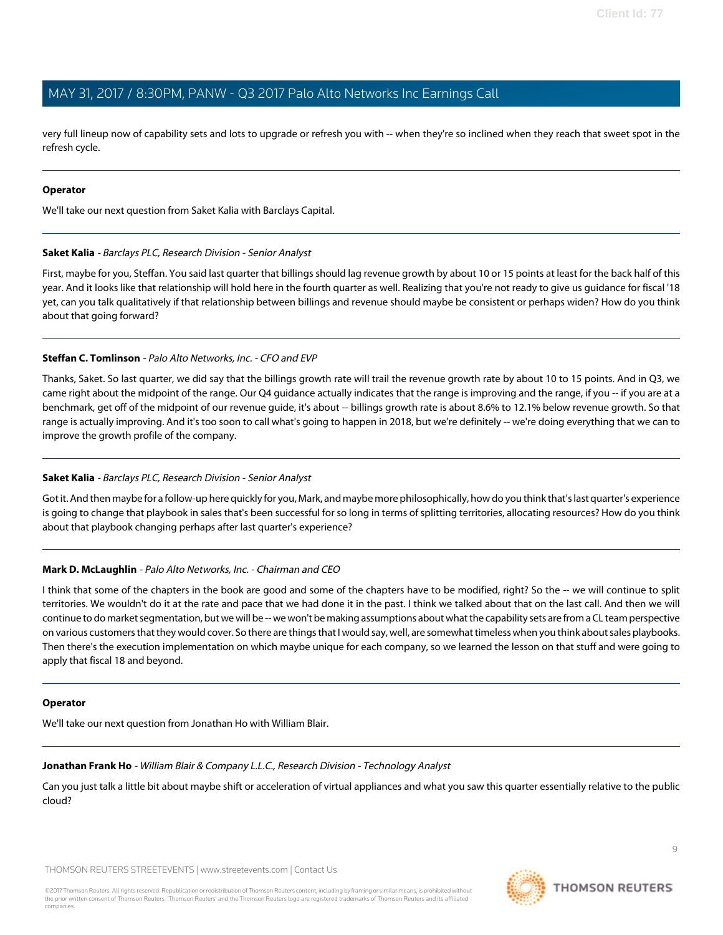very full lineup now of capability sets and lots to upgrade or refresh you with -- when they're so inclined when they reach that sweet spot in the refresh cycle.

#### **Operator**

<span id="page-8-1"></span>We'll take our next question from Saket Kalia with Barclays Capital.

#### **Saket Kalia** - Barclays PLC, Research Division - Senior Analyst

First, maybe for you, Steffan. You said last quarter that billings should lag revenue growth by about 10 or 15 points at least for the back half of this year. And it looks like that relationship will hold here in the fourth quarter as well. Realizing that you're not ready to give us guidance for fiscal '18 yet, can you talk qualitatively if that relationship between billings and revenue should maybe be consistent or perhaps widen? How do you think about that going forward?

### **Steffan C. Tomlinson** - Palo Alto Networks, Inc. - CFO and EVP

Thanks, Saket. So last quarter, we did say that the billings growth rate will trail the revenue growth rate by about 10 to 15 points. And in Q3, we came right about the midpoint of the range. Our Q4 guidance actually indicates that the range is improving and the range, if you -- if you are at a benchmark, get off of the midpoint of our revenue guide, it's about -- billings growth rate is about 8.6% to 12.1% below revenue growth. So that range is actually improving. And it's too soon to call what's going to happen in 2018, but we're definitely -- we're doing everything that we can to improve the growth profile of the company.

#### **Saket Kalia** - Barclays PLC, Research Division - Senior Analyst

Got it. And then maybe for a follow-up here quickly for you, Mark, and maybe more philosophically, how do you think that's last quarter's experience is going to change that playbook in sales that's been successful for so long in terms of splitting territories, allocating resources? How do you think about that playbook changing perhaps after last quarter's experience?

### **Mark D. McLaughlin** - Palo Alto Networks, Inc. - Chairman and CEO

I think that some of the chapters in the book are good and some of the chapters have to be modified, right? So the -- we will continue to split territories. We wouldn't do it at the rate and pace that we had done it in the past. I think we talked about that on the last call. And then we will continue to do market segmentation, but we will be -- we won't be making assumptions about what the capability sets are from a CL team perspective on various customers that they would cover. So there are things that I would say, well, are somewhat timeless when you think about sales playbooks. Then there's the execution implementation on which maybe unique for each company, so we learned the lesson on that stuff and were going to apply that fiscal 18 and beyond.

#### <span id="page-8-0"></span>**Operator**

We'll take our next question from Jonathan Ho with William Blair.

#### **Jonathan Frank Ho** - William Blair & Company L.L.C., Research Division - Technology Analyst

Can you just talk a little bit about maybe shift or acceleration of virtual appliances and what you saw this quarter essentially relative to the public cloud?

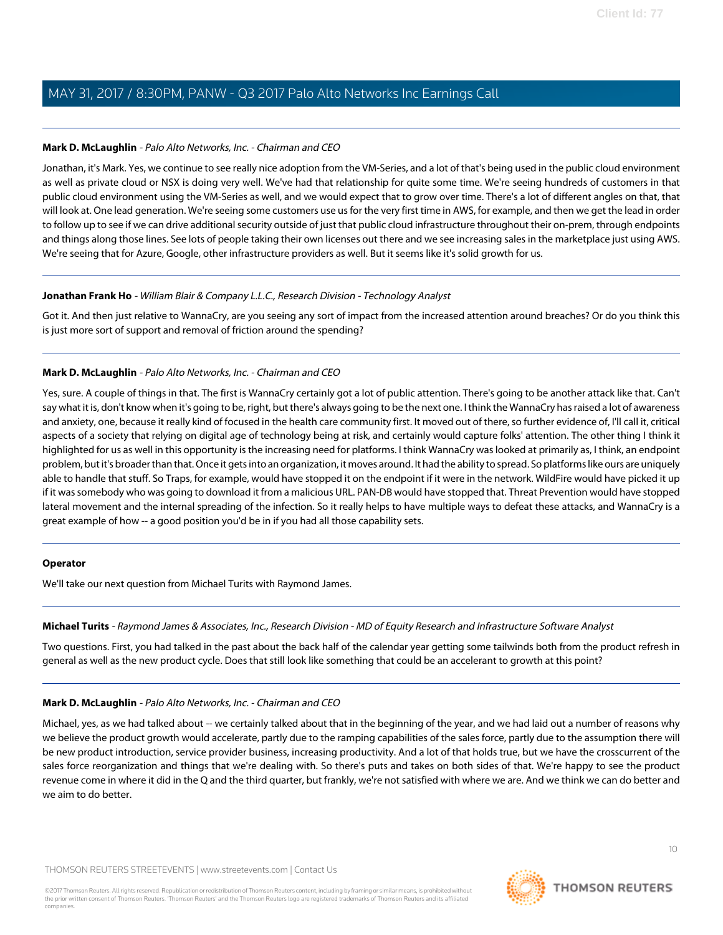#### **Mark D. McLaughlin** - Palo Alto Networks, Inc. - Chairman and CEO

Jonathan, it's Mark. Yes, we continue to see really nice adoption from the VM-Series, and a lot of that's being used in the public cloud environment as well as private cloud or NSX is doing very well. We've had that relationship for quite some time. We're seeing hundreds of customers in that public cloud environment using the VM-Series as well, and we would expect that to grow over time. There's a lot of different angles on that, that will look at. One lead generation. We're seeing some customers use us for the very first time in AWS, for example, and then we get the lead in order to follow up to see if we can drive additional security outside of just that public cloud infrastructure throughout their on-prem, through endpoints and things along those lines. See lots of people taking their own licenses out there and we see increasing sales in the marketplace just using AWS. We're seeing that for Azure, Google, other infrastructure providers as well. But it seems like it's solid growth for us.

#### **Jonathan Frank Ho** - William Blair & Company L.L.C., Research Division - Technology Analyst

Got it. And then just relative to WannaCry, are you seeing any sort of impact from the increased attention around breaches? Or do you think this is just more sort of support and removal of friction around the spending?

#### **Mark D. McLaughlin** - Palo Alto Networks, Inc. - Chairman and CEO

Yes, sure. A couple of things in that. The first is WannaCry certainly got a lot of public attention. There's going to be another attack like that. Can't say what it is, don't know when it's going to be, right, but there's always going to be the next one. I think the WannaCry has raised a lot of awareness and anxiety, one, because it really kind of focused in the health care community first. It moved out of there, so further evidence of, I'll call it, critical aspects of a society that relying on digital age of technology being at risk, and certainly would capture folks' attention. The other thing I think it highlighted for us as well in this opportunity is the increasing need for platforms. I think WannaCry was looked at primarily as, I think, an endpoint problem, but it's broader than that. Once it gets into an organization, it moves around. It had the ability to spread. So platforms like ours are uniquely able to handle that stuff. So Traps, for example, would have stopped it on the endpoint if it were in the network. WildFire would have picked it up if it was somebody who was going to download it from a malicious URL. PAN-DB would have stopped that. Threat Prevention would have stopped lateral movement and the internal spreading of the infection. So it really helps to have multiple ways to defeat these attacks, and WannaCry is a great example of how -- a good position you'd be in if you had all those capability sets.

#### <span id="page-9-0"></span>**Operator**

We'll take our next question from Michael Turits with Raymond James.

#### **Michael Turits** - Raymond James & Associates, Inc., Research Division - MD of Equity Research and Infrastructure Software Analyst

Two questions. First, you had talked in the past about the back half of the calendar year getting some tailwinds both from the product refresh in general as well as the new product cycle. Does that still look like something that could be an accelerant to growth at this point?

#### **Mark D. McLaughlin** - Palo Alto Networks, Inc. - Chairman and CEO

Michael, yes, as we had talked about -- we certainly talked about that in the beginning of the year, and we had laid out a number of reasons why we believe the product growth would accelerate, partly due to the ramping capabilities of the sales force, partly due to the assumption there will be new product introduction, service provider business, increasing productivity. And a lot of that holds true, but we have the crosscurrent of the sales force reorganization and things that we're dealing with. So there's puts and takes on both sides of that. We're happy to see the product revenue come in where it did in the Q and the third quarter, but frankly, we're not satisfied with where we are. And we think we can do better and we aim to do better.



**THOMSON REUTERS**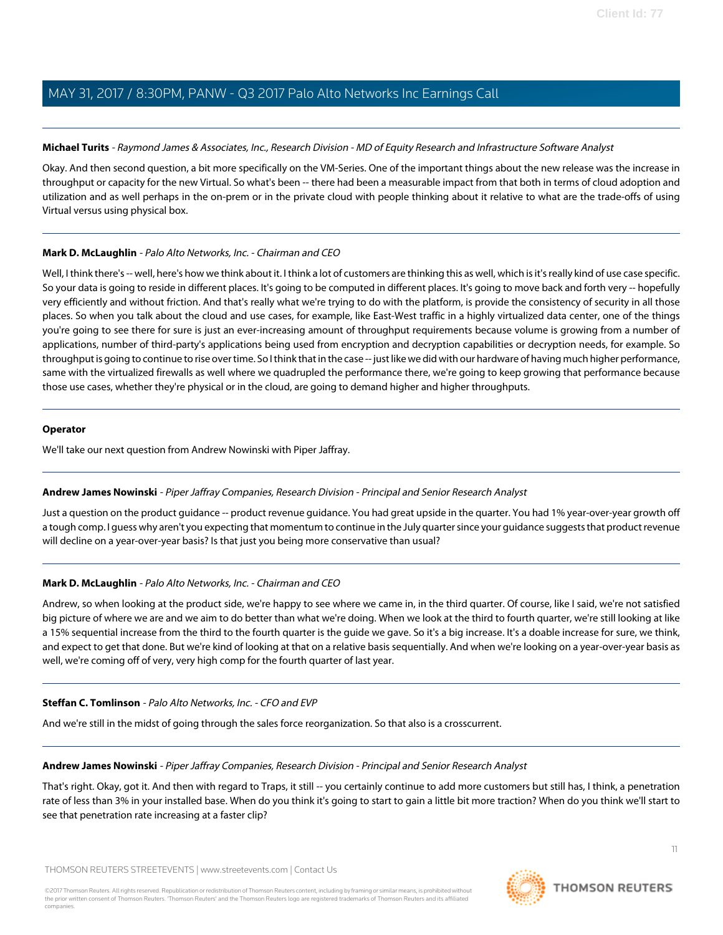### **Michael Turits** - Raymond James & Associates, Inc., Research Division - MD of Equity Research and Infrastructure Software Analyst

Okay. And then second question, a bit more specifically on the VM-Series. One of the important things about the new release was the increase in throughput or capacity for the new Virtual. So what's been -- there had been a measurable impact from that both in terms of cloud adoption and utilization and as well perhaps in the on-prem or in the private cloud with people thinking about it relative to what are the trade-offs of using Virtual versus using physical box.

#### **Mark D. McLaughlin** - Palo Alto Networks, Inc. - Chairman and CEO

Well, I think there's -- well, here's how we think about it. I think a lot of customers are thinking this as well, which is it's really kind of use case specific. So your data is going to reside in different places. It's going to be computed in different places. It's going to move back and forth very -- hopefully very efficiently and without friction. And that's really what we're trying to do with the platform, is provide the consistency of security in all those places. So when you talk about the cloud and use cases, for example, like East-West traffic in a highly virtualized data center, one of the things you're going to see there for sure is just an ever-increasing amount of throughput requirements because volume is growing from a number of applications, number of third-party's applications being used from encryption and decryption capabilities or decryption needs, for example. So throughput is going to continue to rise over time. So I think that in the case -- just like we did with our hardware of having much higher performance, same with the virtualized firewalls as well where we quadrupled the performance there, we're going to keep growing that performance because those use cases, whether they're physical or in the cloud, are going to demand higher and higher throughputs.

#### **Operator**

<span id="page-10-0"></span>We'll take our next question from Andrew Nowinski with Piper Jaffray.

### **Andrew James Nowinski** - Piper Jaffray Companies, Research Division - Principal and Senior Research Analyst

Just a question on the product guidance -- product revenue guidance. You had great upside in the quarter. You had 1% year-over-year growth off a tough comp. I guess why aren't you expecting that momentum to continue in the July quarter since your guidance suggests that product revenue will decline on a year-over-year basis? Is that just you being more conservative than usual?

### **Mark D. McLaughlin** - Palo Alto Networks, Inc. - Chairman and CEO

Andrew, so when looking at the product side, we're happy to see where we came in, in the third quarter. Of course, like I said, we're not satisfied big picture of where we are and we aim to do better than what we're doing. When we look at the third to fourth quarter, we're still looking at like a 15% sequential increase from the third to the fourth quarter is the guide we gave. So it's a big increase. It's a doable increase for sure, we think, and expect to get that done. But we're kind of looking at that on a relative basis sequentially. And when we're looking on a year-over-year basis as well, we're coming off of very, very high comp for the fourth quarter of last year.

#### **Steffan C. Tomlinson** - Palo Alto Networks, Inc. - CFO and EVP

And we're still in the midst of going through the sales force reorganization. So that also is a crosscurrent.

#### **Andrew James Nowinski** - Piper Jaffray Companies, Research Division - Principal and Senior Research Analyst

That's right. Okay, got it. And then with regard to Traps, it still -- you certainly continue to add more customers but still has, I think, a penetration rate of less than 3% in your installed base. When do you think it's going to start to gain a little bit more traction? When do you think we'll start to see that penetration rate increasing at a faster clip?

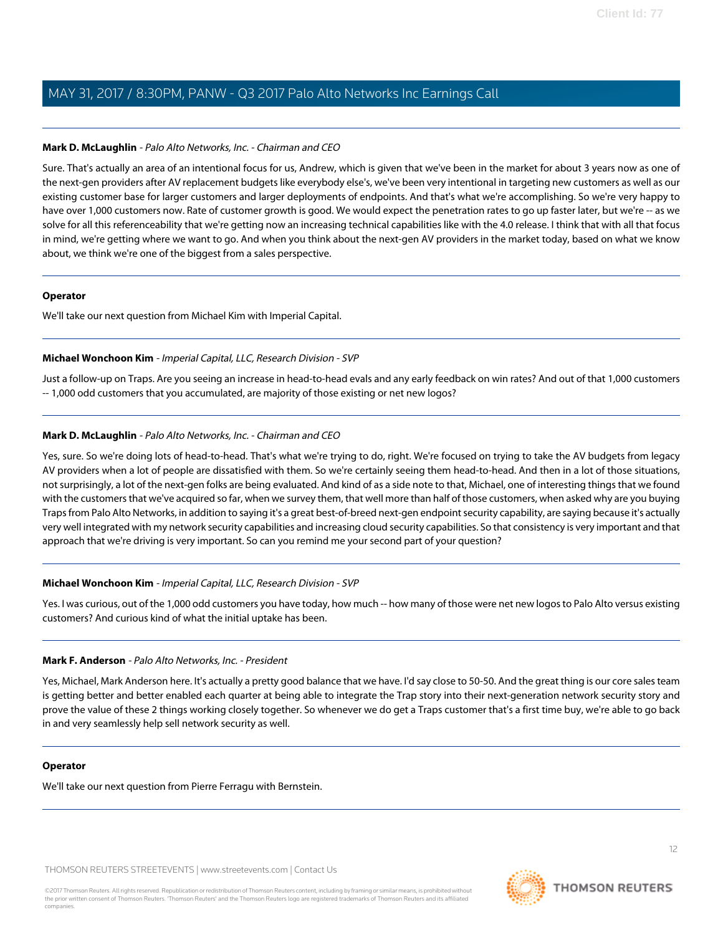#### **Mark D. McLaughlin** - Palo Alto Networks, Inc. - Chairman and CEO

Sure. That's actually an area of an intentional focus for us, Andrew, which is given that we've been in the market for about 3 years now as one of the next-gen providers after AV replacement budgets like everybody else's, we've been very intentional in targeting new customers as well as our existing customer base for larger customers and larger deployments of endpoints. And that's what we're accomplishing. So we're very happy to have over 1,000 customers now. Rate of customer growth is good. We would expect the penetration rates to go up faster later, but we're -- as we solve for all this referenceability that we're getting now an increasing technical capabilities like with the 4.0 release. I think that with all that focus in mind, we're getting where we want to go. And when you think about the next-gen AV providers in the market today, based on what we know about, we think we're one of the biggest from a sales perspective.

#### **Operator**

<span id="page-11-1"></span>We'll take our next question from Michael Kim with Imperial Capital.

#### **Michael Wonchoon Kim** - Imperial Capital, LLC, Research Division - SVP

Just a follow-up on Traps. Are you seeing an increase in head-to-head evals and any early feedback on win rates? And out of that 1,000 customers -- 1,000 odd customers that you accumulated, are majority of those existing or net new logos?

### **Mark D. McLaughlin** - Palo Alto Networks, Inc. - Chairman and CEO

Yes, sure. So we're doing lots of head-to-head. That's what we're trying to do, right. We're focused on trying to take the AV budgets from legacy AV providers when a lot of people are dissatisfied with them. So we're certainly seeing them head-to-head. And then in a lot of those situations, not surprisingly, a lot of the next-gen folks are being evaluated. And kind of as a side note to that, Michael, one of interesting things that we found with the customers that we've acquired so far, when we survey them, that well more than half of those customers, when asked why are you buying Traps from Palo Alto Networks, in addition to saying it's a great best-of-breed next-gen endpoint security capability, are saying because it's actually very well integrated with my network security capabilities and increasing cloud security capabilities. So that consistency is very important and that approach that we're driving is very important. So can you remind me your second part of your question?

#### **Michael Wonchoon Kim** - Imperial Capital, LLC, Research Division - SVP

<span id="page-11-0"></span>Yes. I was curious, out of the 1,000 odd customers you have today, how much -- how many of those were net new logos to Palo Alto versus existing customers? And curious kind of what the initial uptake has been.

#### **Mark F. Anderson** - Palo Alto Networks, Inc. - President

Yes, Michael, Mark Anderson here. It's actually a pretty good balance that we have. I'd say close to 50-50. And the great thing is our core sales team is getting better and better enabled each quarter at being able to integrate the Trap story into their next-generation network security story and prove the value of these 2 things working closely together. So whenever we do get a Traps customer that's a first time buy, we're able to go back in and very seamlessly help sell network security as well.

#### **Operator**

We'll take our next question from Pierre Ferragu with Bernstein.

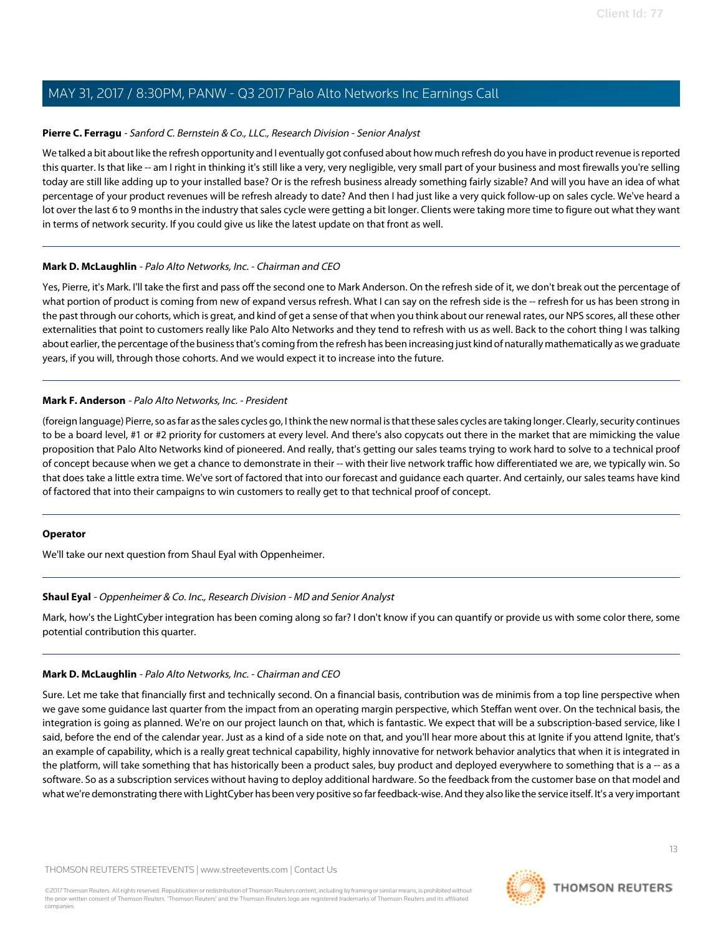#### <span id="page-12-0"></span>**Pierre C. Ferragu** - Sanford C. Bernstein & Co., LLC., Research Division - Senior Analyst

We talked a bit about like the refresh opportunity and I eventually got confused about how much refresh do you have in product revenue is reported this quarter. Is that like -- am I right in thinking it's still like a very, very negligible, very small part of your business and most firewalls you're selling today are still like adding up to your installed base? Or is the refresh business already something fairly sizable? And will you have an idea of what percentage of your product revenues will be refresh already to date? And then I had just like a very quick follow-up on sales cycle. We've heard a lot over the last 6 to 9 months in the industry that sales cycle were getting a bit longer. Clients were taking more time to figure out what they want in terms of network security. If you could give us like the latest update on that front as well.

#### **Mark D. McLaughlin** - Palo Alto Networks, Inc. - Chairman and CEO

Yes, Pierre, it's Mark. I'll take the first and pass off the second one to Mark Anderson. On the refresh side of it, we don't break out the percentage of what portion of product is coming from new of expand versus refresh. What I can say on the refresh side is the -- refresh for us has been strong in the past through our cohorts, which is great, and kind of get a sense of that when you think about our renewal rates, our NPS scores, all these other externalities that point to customers really like Palo Alto Networks and they tend to refresh with us as well. Back to the cohort thing I was talking about earlier, the percentage of the business that's coming from the refresh has been increasing just kind of naturally mathematically as we graduate years, if you will, through those cohorts. And we would expect it to increase into the future.

#### **Mark F. Anderson** - Palo Alto Networks, Inc. - President

(foreign language) Pierre, so as far as the sales cycles go, I think the new normal is that these sales cycles are taking longer. Clearly, security continues to be a board level, #1 or #2 priority for customers at every level. And there's also copycats out there in the market that are mimicking the value proposition that Palo Alto Networks kind of pioneered. And really, that's getting our sales teams trying to work hard to solve to a technical proof of concept because when we get a chance to demonstrate in their -- with their live network traffic how differentiated we are, we typically win. So that does take a little extra time. We've sort of factored that into our forecast and guidance each quarter. And certainly, our sales teams have kind of factored that into their campaigns to win customers to really get to that technical proof of concept.

#### <span id="page-12-1"></span>**Operator**

We'll take our next question from Shaul Eyal with Oppenheimer.

### **Shaul Eyal** - Oppenheimer & Co. Inc., Research Division - MD and Senior Analyst

Mark, how's the LightCyber integration has been coming along so far? I don't know if you can quantify or provide us with some color there, some potential contribution this quarter.

#### **Mark D. McLaughlin** - Palo Alto Networks, Inc. - Chairman and CEO

Sure. Let me take that financially first and technically second. On a financial basis, contribution was de minimis from a top line perspective when we gave some guidance last quarter from the impact from an operating margin perspective, which Steffan went over. On the technical basis, the integration is going as planned. We're on our project launch on that, which is fantastic. We expect that will be a subscription-based service, like I said, before the end of the calendar year. Just as a kind of a side note on that, and you'll hear more about this at Ignite if you attend Ignite, that's an example of capability, which is a really great technical capability, highly innovative for network behavior analytics that when it is integrated in the platform, will take something that has historically been a product sales, buy product and deployed everywhere to something that is a -- as a software. So as a subscription services without having to deploy additional hardware. So the feedback from the customer base on that model and what we're demonstrating there with LightCyber has been very positive so far feedback-wise. And they also like the service itself. It's a very important

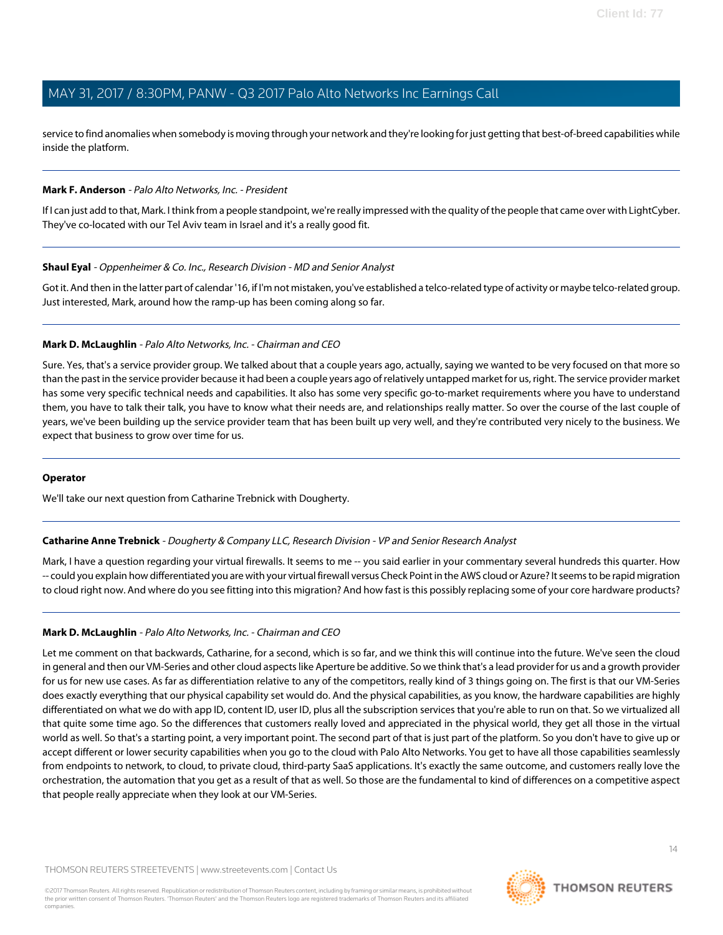service to find anomalies when somebody is moving through your network and they're looking for just getting that best-of-breed capabilities while inside the platform.

#### **Mark F. Anderson** - Palo Alto Networks, Inc. - President

If I can just add to that, Mark. I think from a people standpoint, we're really impressed with the quality of the people that came over with LightCyber. They've co-located with our Tel Aviv team in Israel and it's a really good fit.

#### **Shaul Eyal** - Oppenheimer & Co. Inc., Research Division - MD and Senior Analyst

Got it. And then in the latter part of calendar '16, if I'm not mistaken, you've established a telco-related type of activity or maybe telco-related group. Just interested, Mark, around how the ramp-up has been coming along so far.

#### **Mark D. McLaughlin** - Palo Alto Networks, Inc. - Chairman and CEO

Sure. Yes, that's a service provider group. We talked about that a couple years ago, actually, saying we wanted to be very focused on that more so than the past in the service provider because it had been a couple years ago of relatively untapped market for us, right. The service provider market has some very specific technical needs and capabilities. It also has some very specific go-to-market requirements where you have to understand them, you have to talk their talk, you have to know what their needs are, and relationships really matter. So over the course of the last couple of years, we've been building up the service provider team that has been built up very well, and they're contributed very nicely to the business. We expect that business to grow over time for us.

#### <span id="page-13-0"></span>**Operator**

We'll take our next question from Catharine Trebnick with Dougherty.

#### **Catharine Anne Trebnick** - Dougherty & Company LLC, Research Division - VP and Senior Research Analyst

Mark, I have a question regarding your virtual firewalls. It seems to me -- you said earlier in your commentary several hundreds this quarter. How -- could you explain how differentiated you are with your virtual firewall versus Check Point in the AWS cloud or Azure? It seems to be rapid migration to cloud right now. And where do you see fitting into this migration? And how fast is this possibly replacing some of your core hardware products?

#### **Mark D. McLaughlin** - Palo Alto Networks, Inc. - Chairman and CEO

Let me comment on that backwards, Catharine, for a second, which is so far, and we think this will continue into the future. We've seen the cloud in general and then our VM-Series and other cloud aspects like Aperture be additive. So we think that's a lead provider for us and a growth provider for us for new use cases. As far as differentiation relative to any of the competitors, really kind of 3 things going on. The first is that our VM-Series does exactly everything that our physical capability set would do. And the physical capabilities, as you know, the hardware capabilities are highly differentiated on what we do with app ID, content ID, user ID, plus all the subscription services that you're able to run on that. So we virtualized all that quite some time ago. So the differences that customers really loved and appreciated in the physical world, they get all those in the virtual world as well. So that's a starting point, a very important point. The second part of that is just part of the platform. So you don't have to give up or accept different or lower security capabilities when you go to the cloud with Palo Alto Networks. You get to have all those capabilities seamlessly from endpoints to network, to cloud, to private cloud, third-party SaaS applications. It's exactly the same outcome, and customers really love the orchestration, the automation that you get as a result of that as well. So those are the fundamental to kind of differences on a competitive aspect that people really appreciate when they look at our VM-Series.

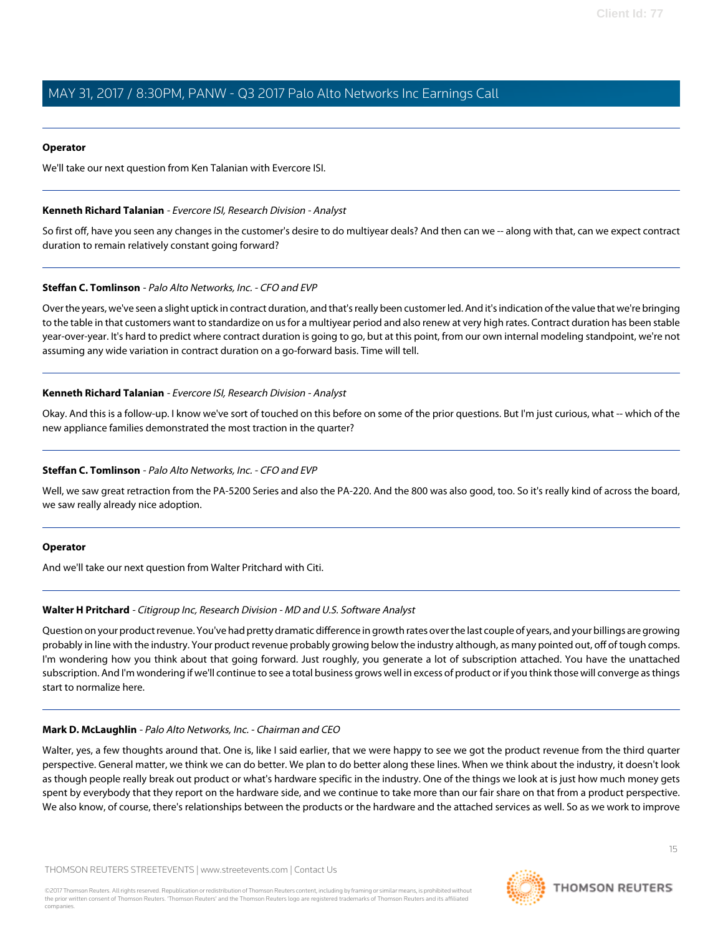#### **Operator**

<span id="page-14-0"></span>We'll take our next question from Ken Talanian with Evercore ISI.

#### **Kenneth Richard Talanian** - Evercore ISI, Research Division - Analyst

So first off, have you seen any changes in the customer's desire to do multiyear deals? And then can we -- along with that, can we expect contract duration to remain relatively constant going forward?

#### **Steffan C. Tomlinson** - Palo Alto Networks, Inc. - CFO and EVP

Over the years, we've seen a slight uptick in contract duration, and that's really been customer led. And it's indication of the value that we're bringing to the table in that customers want to standardize on us for a multiyear period and also renew at very high rates. Contract duration has been stable year-over-year. It's hard to predict where contract duration is going to go, but at this point, from our own internal modeling standpoint, we're not assuming any wide variation in contract duration on a go-forward basis. Time will tell.

#### **Kenneth Richard Talanian** - Evercore ISI, Research Division - Analyst

Okay. And this is a follow-up. I know we've sort of touched on this before on some of the prior questions. But I'm just curious, what -- which of the new appliance families demonstrated the most traction in the quarter?

#### **Steffan C. Tomlinson** - Palo Alto Networks, Inc. - CFO and EVP

Well, we saw great retraction from the PA-5200 Series and also the PA-220. And the 800 was also good, too. So it's really kind of across the board, we saw really already nice adoption.

#### <span id="page-14-1"></span>**Operator**

And we'll take our next question from Walter Pritchard with Citi.

#### **Walter H Pritchard** - Citigroup Inc, Research Division - MD and U.S. Software Analyst

Question on your product revenue. You've had pretty dramatic difference in growth rates over the last couple of years, and your billings are growing probably in line with the industry. Your product revenue probably growing below the industry although, as many pointed out, off of tough comps. I'm wondering how you think about that going forward. Just roughly, you generate a lot of subscription attached. You have the unattached subscription. And I'm wondering if we'll continue to see a total business grows well in excess of product or if you think those will converge as things start to normalize here.

#### **Mark D. McLaughlin** - Palo Alto Networks, Inc. - Chairman and CEO

Walter, yes, a few thoughts around that. One is, like I said earlier, that we were happy to see we got the product revenue from the third quarter perspective. General matter, we think we can do better. We plan to do better along these lines. When we think about the industry, it doesn't look as though people really break out product or what's hardware specific in the industry. One of the things we look at is just how much money gets spent by everybody that they report on the hardware side, and we continue to take more than our fair share on that from a product perspective. We also know, of course, there's relationships between the products or the hardware and the attached services as well. So as we work to improve



**THOMSON REUTERS**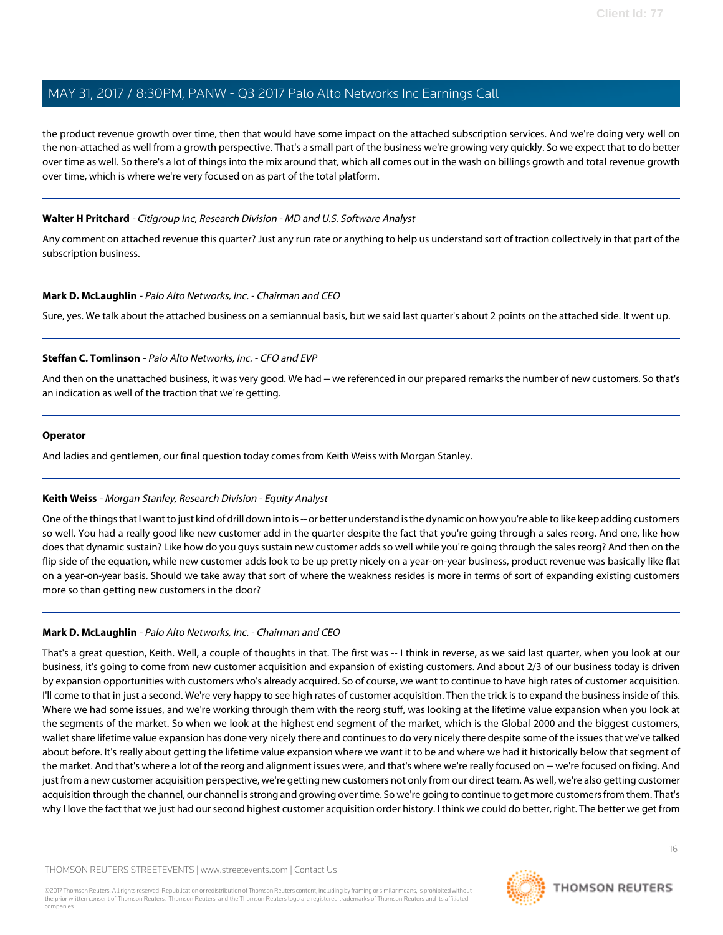the product revenue growth over time, then that would have some impact on the attached subscription services. And we're doing very well on the non-attached as well from a growth perspective. That's a small part of the business we're growing very quickly. So we expect that to do better over time as well. So there's a lot of things into the mix around that, which all comes out in the wash on billings growth and total revenue growth over time, which is where we're very focused on as part of the total platform.

#### **Walter H Pritchard** - Citigroup Inc, Research Division - MD and U.S. Software Analyst

Any comment on attached revenue this quarter? Just any run rate or anything to help us understand sort of traction collectively in that part of the subscription business.

#### **Mark D. McLaughlin** - Palo Alto Networks, Inc. - Chairman and CEO

Sure, yes. We talk about the attached business on a semiannual basis, but we said last quarter's about 2 points on the attached side. It went up.

#### **Steffan C. Tomlinson** - Palo Alto Networks, Inc. - CFO and EVP

And then on the unattached business, it was very good. We had -- we referenced in our prepared remarks the number of new customers. So that's an indication as well of the traction that we're getting.

#### **Operator**

<span id="page-15-0"></span>And ladies and gentlemen, our final question today comes from Keith Weiss with Morgan Stanley.

### **Keith Weiss** - Morgan Stanley, Research Division - Equity Analyst

One of the things that I want to just kind of drill down into is -- or better understand is the dynamic on how you're able to like keep adding customers so well. You had a really good like new customer add in the quarter despite the fact that you're going through a sales reorg. And one, like how does that dynamic sustain? Like how do you guys sustain new customer adds so well while you're going through the sales reorg? And then on the flip side of the equation, while new customer adds look to be up pretty nicely on a year-on-year business, product revenue was basically like flat on a year-on-year basis. Should we take away that sort of where the weakness resides is more in terms of sort of expanding existing customers more so than getting new customers in the door?

### **Mark D. McLaughlin** - Palo Alto Networks, Inc. - Chairman and CEO

That's a great question, Keith. Well, a couple of thoughts in that. The first was -- I think in reverse, as we said last quarter, when you look at our business, it's going to come from new customer acquisition and expansion of existing customers. And about 2/3 of our business today is driven by expansion opportunities with customers who's already acquired. So of course, we want to continue to have high rates of customer acquisition. I'll come to that in just a second. We're very happy to see high rates of customer acquisition. Then the trick is to expand the business inside of this. Where we had some issues, and we're working through them with the reorg stuff, was looking at the lifetime value expansion when you look at the segments of the market. So when we look at the highest end segment of the market, which is the Global 2000 and the biggest customers, wallet share lifetime value expansion has done very nicely there and continues to do very nicely there despite some of the issues that we've talked about before. It's really about getting the lifetime value expansion where we want it to be and where we had it historically below that segment of the market. And that's where a lot of the reorg and alignment issues were, and that's where we're really focused on -- we're focused on fixing. And just from a new customer acquisition perspective, we're getting new customers not only from our direct team. As well, we're also getting customer acquisition through the channel, our channel is strong and growing over time. So we're going to continue to get more customers from them. That's why I love the fact that we just had our second highest customer acquisition order history. I think we could do better, right. The better we get from

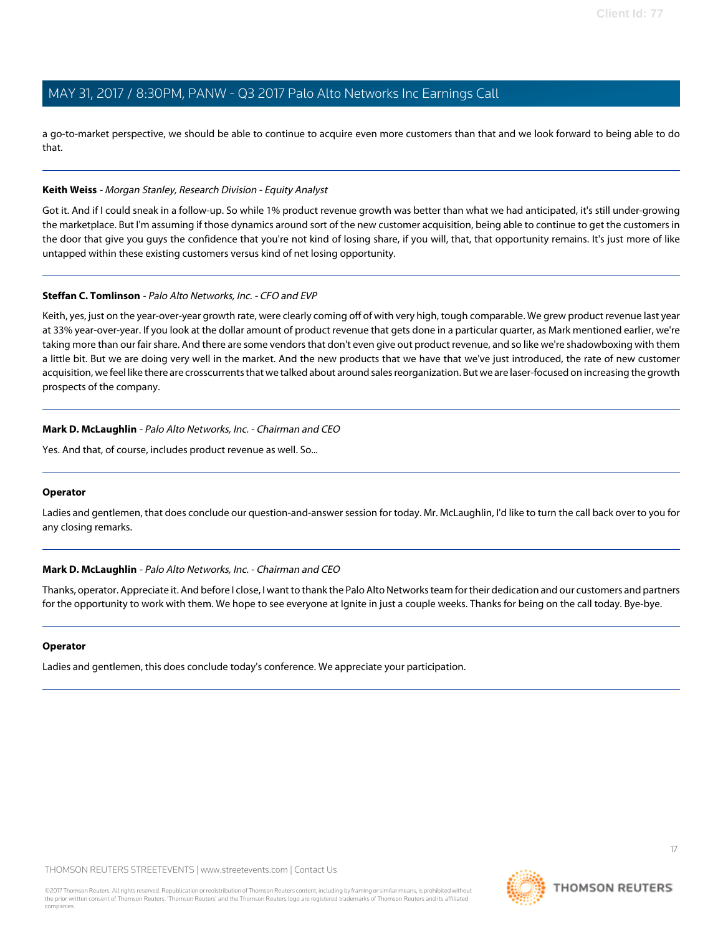a go-to-market perspective, we should be able to continue to acquire even more customers than that and we look forward to being able to do that.

#### **Keith Weiss** - Morgan Stanley, Research Division - Equity Analyst

Got it. And if I could sneak in a follow-up. So while 1% product revenue growth was better than what we had anticipated, it's still under-growing the marketplace. But I'm assuming if those dynamics around sort of the new customer acquisition, being able to continue to get the customers in the door that give you guys the confidence that you're not kind of losing share, if you will, that, that opportunity remains. It's just more of like untapped within these existing customers versus kind of net losing opportunity.

### **Steffan C. Tomlinson** - Palo Alto Networks, Inc. - CFO and EVP

Keith, yes, just on the year-over-year growth rate, were clearly coming off of with very high, tough comparable. We grew product revenue last year at 33% year-over-year. If you look at the dollar amount of product revenue that gets done in a particular quarter, as Mark mentioned earlier, we're taking more than our fair share. And there are some vendors that don't even give out product revenue, and so like we're shadowboxing with them a little bit. But we are doing very well in the market. And the new products that we have that we've just introduced, the rate of new customer acquisition, we feel like there are crosscurrents that we talked about around sales reorganization. But we are laser-focused on increasing the growth prospects of the company.

#### **Mark D. McLaughlin** - Palo Alto Networks, Inc. - Chairman and CEO

Yes. And that, of course, includes product revenue as well. So...

#### **Operator**

Ladies and gentlemen, that does conclude our question-and-answer session for today. Mr. McLaughlin, I'd like to turn the call back over to you for any closing remarks.

#### **Mark D. McLaughlin** - Palo Alto Networks, Inc. - Chairman and CEO

Thanks, operator. Appreciate it. And before I close, I want to thank the Palo Alto Networks team for their dedication and our customers and partners for the opportunity to work with them. We hope to see everyone at Ignite in just a couple weeks. Thanks for being on the call today. Bye-bye.

#### **Operator**

Ladies and gentlemen, this does conclude today's conference. We appreciate your participation.